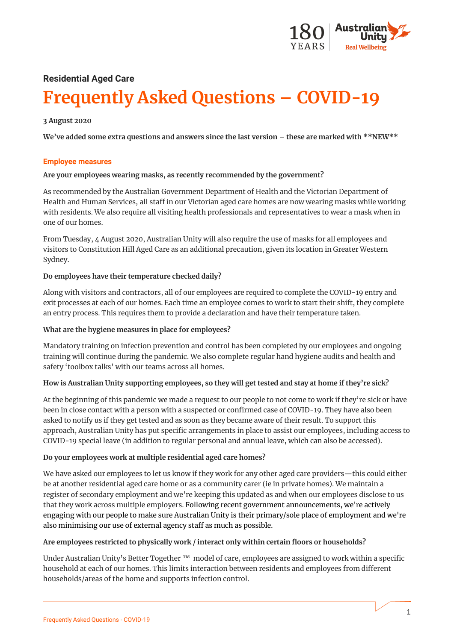

# **Residential Aged Care Frequently Asked Questions – COVID-19**

## **3 August 2020**

**We've added some extra questions and answers since the last version – these are marked with \*\*NEW\*\***

#### **Employee measures**

#### **Are your employees wearing masks, as recently recommended by the government?**

As recommended by the Australian Government Department of Health and the Victorian Department of Health and Human Services, all staff in our Victorian aged care homes are now wearing masks while working with residents. We also require all visiting health professionals and representatives to wear a mask when in one of our homes.

From Tuesday, 4 August 2020, Australian Unity will also require the use of masks for all employees and visitors to Constitution Hill Aged Care as an additional precaution, given its location in Greater Western Sydney.

## **Do employees have their temperature checked daily?**

Along with visitors and contractors, all of our employees are required to complete the COVID-19 entry and exit processes at each of our homes. Each time an employee comes to work to start their shift, they complete an entry process. This requires them to provide a declaration and have their temperature taken.

## **What are the hygiene measures in place for employees?**

Mandatory training on infection prevention and control has been completed by our employees and ongoing training will continue during the pandemic. We also complete regular hand hygiene audits and health and safety 'toolbox talks' with our teams across all homes.

## **How is Australian Unity supporting employees, so they will get tested and stay at home if they're sick?**

At the beginning of this pandemic we made a request to our people to not come to work if they're sick or have been in close contact with a person with a suspected or confirmed case of COVID-19. They have also been asked to notify us if they get tested and as soon as they became aware of their result. To support this approach, Australian Unity has put specific arrangements in place to assist our employees, including access to COVID-19 special leave (in addition to regular personal and annual leave, which can also be accessed).

## **Do your employees work at multiple residential aged care homes?**

We have asked our employees to let us know if they work for any other aged care providers—this could either be at another residential aged care home or as a community carer (ie in private homes). We maintain a register of secondary employment and we're keeping this updated as and when our employees disclose to us that they work across multiple employers. Following recent government announcements, we're actively engaging with our people to make sure Australian Unity is their primary/sole place of employment and we're also minimising our use of external agency staff as much as possible.

## **Are employees restricted to physically work / interact only within certain floors or households?**

Under Australian Unity's Better Together ™ model of care, employees are assigned to work within a specific household at each of our homes. This limits interaction between residents and employees from different households/areas of the home and supports infection control.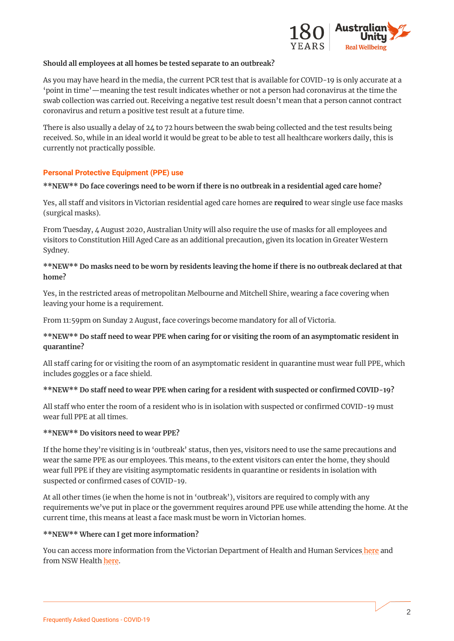

#### **Should all employees at all homes be tested separate to an outbreak?**

As you may have heard in the media, the current PCR test that is available for COVID-19 is only accurate at a 'point in time'—meaning the test result indicates whether or not a person had coronavirus at the time the swab collection was carried out. Receiving a negative test result doesn't mean that a person cannot contract coronavirus and return a positive test result at a future time.

There is also usually a delay of 24 to 72 hours between the swab being collected and the test results being received. So, while in an ideal world it would be great to be able to test all healthcare workers daily, this is currently not practically possible.

## **Personal Protective Equipment (PPE) use**

## **\*\*NEW\*\* Do face coverings need to be worn if there is no outbreak in a residential aged care home?**

Yes, all staff and visitors in Victorian residential aged care homes are **required** to wear single use face masks (surgical masks).

From Tuesday, 4 August 2020, Australian Unity will also require the use of masks for all employees and visitors to Constitution Hill Aged Care as an additional precaution, given its location in Greater Western Sydney.

## **\*\*NEW\*\* Do masks need to be worn by residents leaving the home if there is no outbreak declared at that home?**

Yes, in the restricted areas of metropolitan Melbourne and Mitchell Shire, wearing a face covering when leaving your home is a requirement.

From 11:59pm on Sunday 2 August, face coverings become mandatory for all of Victoria.

# **\*\*NEW\*\* Do staff need to wear PPE when caring for or visiting the room of an asymptomatic resident in quarantine?**

All staff caring for or visiting the room of an asymptomatic resident in quarantine must wear full PPE, which includes goggles or a face shield.

## **\*\*NEW\*\* Do staff need to wear PPE when caring for a resident with suspected or confirmed COVID-19?**

All staff who enter the room of a resident who is in isolation with suspected or confirmed COVID-19 must wear full PPE at all times.

## **\*\*NEW\*\* Do visitors need to wear PPE?**

If the home they're visiting is in 'outbreak' status, then yes, visitors need to use the same precautions and wear the same PPE as our employees. This means, to the extent visitors can enter the home, they should wear full PPE if they are visiting asymptomatic residents in quarantine or residents in isolation with suspected or confirmed cases of COVID-19.

At all other times (ie when the home is not in 'outbreak'), visitors are required to comply with any requirements we've put in place or the government requires around PPE use while attending the home. At the current time, this means at least a face mask must be worn in Victorian homes.

## **\*\*NEW\*\* Where can I get more information?**

You can access more information from the Victorian Department of Health and Human Services [here](https://www.dhhs.vic.gov.au/aged-care-sector-coronavirus-disease-covid-19) and from NSW Health [here.](https://www.health.nsw.gov.au/Infectious/covid-19/Pages/default.aspx)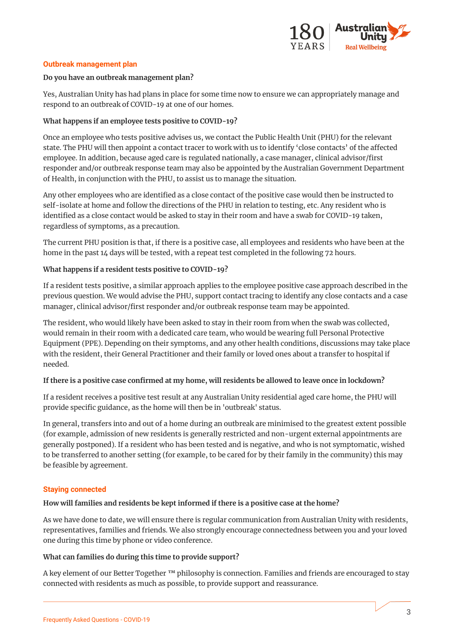

#### **Outbreak management plan**

#### **Do you have an outbreak management plan?**

Yes, Australian Unity has had plans in place for some time now to ensure we can appropriately manage and respond to an outbreak of COVID-19 at one of our homes.

#### **What happens if an employee tests positive to COVID-19?**

Once an employee who tests positive advises us, we contact the Public Health Unit (PHU) for the relevant state. The PHU will then appoint a contact tracer to work with us to identify 'close contacts' of the affected employee. In addition, because aged care is regulated nationally, a case manager, clinical advisor/first responder and/or outbreak response team may also be appointed by the Australian Government Department of Health, in conjunction with the PHU, to assist us to manage the situation.

Any other employees who are identified as a close contact of the positive case would then be instructed to self-isolate at home and follow the directions of the PHU in relation to testing, etc. Any resident who is identified as a close contact would be asked to stay in their room and have a swab for COVID-19 taken, regardless of symptoms, as a precaution.

The current PHU position is that, if there is a positive case, all employees and residents who have been at the home in the past 14 days will be tested, with a repeat test completed in the following 72 hours.

## **What happens if a resident tests positive to COVID-19?**

If a resident tests positive, a similar approach applies to the employee positive case approach described in the previous question. We would advise the PHU, support contact tracing to identify any close contacts and a case manager, clinical advisor/first responder and/or outbreak response team may be appointed.

The resident, who would likely have been asked to stay in their room from when the swab was collected, would remain in their room with a dedicated care team, who would be wearing full Personal Protective Equipment (PPE). Depending on their symptoms, and any other health conditions, discussions may take place with the resident, their General Practitioner and their family or loved ones about a transfer to hospital if needed.

#### **If there is a positive case confirmed at my home, will residents be allowed to leave once in lockdown?**

If a resident receives a positive test result at any Australian Unity residential aged care home, the PHU will provide specific guidance, as the home will then be in 'outbreak' status.

In general, transfers into and out of a home during an outbreak are minimised to the greatest extent possible (for example, admission of new residents is generally restricted and non-urgent external appointments are generally postponed). If a resident who has been tested and is negative, and who is not symptomatic, wished to be transferred to another setting (for example, to be cared for by their family in the community) this may be feasible by agreement.

#### **Staying connected**

#### **How will families and residents be kept informed if there is a positive case at the home?**

As we have done to date, we will ensure there is regular communication from Australian Unity with residents, representatives, families and friends. We also strongly encourage connectedness between you and your loved one during this time by phone or video conference.

# **What can families do during this time to provide support?**

A key element of our Better Together ™ philosophy is connection. Families and friends are encouraged to stay connected with residents as much as possible, to provide support and reassurance.